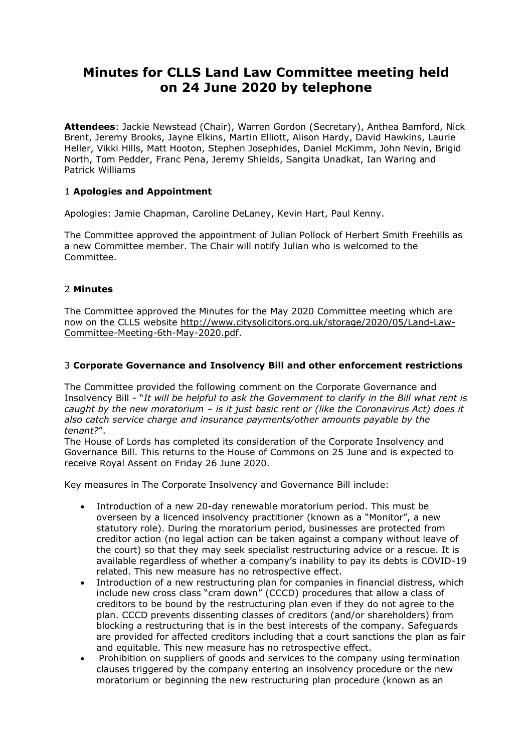# **Minutes for CLLS Land Law Committee meeting held on 24 June 2020 by telephone**

**Attendees**: Jackie Newstead (Chair), Warren Gordon (Secretary), Anthea Bamford, Nick Brent, Jeremy Brooks, Jayne Elkins, Martin Elliott, Alison Hardy, David Hawkins, Laurie Heller, Vikki Hills, Matt Hooton, Stephen Josephides, Daniel McKimm, John Nevin, Brigid North, Tom Pedder, Franc Pena, Jeremy Shields, Sangita Unadkat, Ian Waring and Patrick Williams

# 1 **Apologies and Appointment**

Apologies: Jamie Chapman, Caroline DeLaney, Kevin Hart, Paul Kenny.

The Committee approved the appointment of Julian Pollock of Herbert Smith Freehills as a new Committee member. The Chair will notify Julian who is welcomed to the Committee.

# 2 **Minutes**

The Committee approved the Minutes for the May 2020 Committee meeting which are now on the CLLS website [http://www.citysolicitors.org.uk/storage/2020/05/Land-Law-](http://www.citysolicitors.org.uk/storage/2020/05/Land-Law-Committee-Meeting-6th-May-2020.pdf)[Committee-Meeting-6th-May-2020.pdf.](http://www.citysolicitors.org.uk/storage/2020/05/Land-Law-Committee-Meeting-6th-May-2020.pdf)

# 3 **Corporate Governance and Insolvency Bill and other enforcement restrictions**

The Committee provided the following comment on the Corporate Governance and Insolvency Bill - "*It will be helpful to ask the Government to clarify in the Bill what rent is caught by the new moratorium – is it just basic rent or (like the Coronavirus Act) does it also catch service charge and insurance payments/other amounts payable by the tenant?*".

The House of Lords has completed its consideration of the Corporate Insolvency and Governance Bill. This returns to the House of Commons on 25 June and is expected to receive Royal Assent on Friday 26 June 2020.

Key measures in The Corporate Insolvency and Governance Bill include:

- Introduction of a new 20-day renewable moratorium period. This must be overseen by a licenced insolvency practitioner (known as a "Monitor", a new statutory role). During the moratorium period, businesses are protected from creditor action (no legal action can be taken against a company without leave of the court) so that they may seek specialist restructuring advice or a rescue. It is available regardless of whether a company's inability to pay its debts is COVID-19 related. This new measure has no retrospective effect.
- Introduction of a new restructuring plan for companies in financial distress, which include new cross class "cram down" (CCCD) procedures that allow a class of creditors to be bound by the restructuring plan even if they do not agree to the plan. CCCD prevents dissenting classes of creditors (and/or shareholders) from blocking a restructuring that is in the best interests of the company. Safeguards are provided for affected creditors including that a court sanctions the plan as fair and equitable. This new measure has no retrospective effect.
- Prohibition on suppliers of goods and services to the company using termination clauses triggered by the company entering an insolvency procedure or the new moratorium or beginning the new restructuring plan procedure (known as an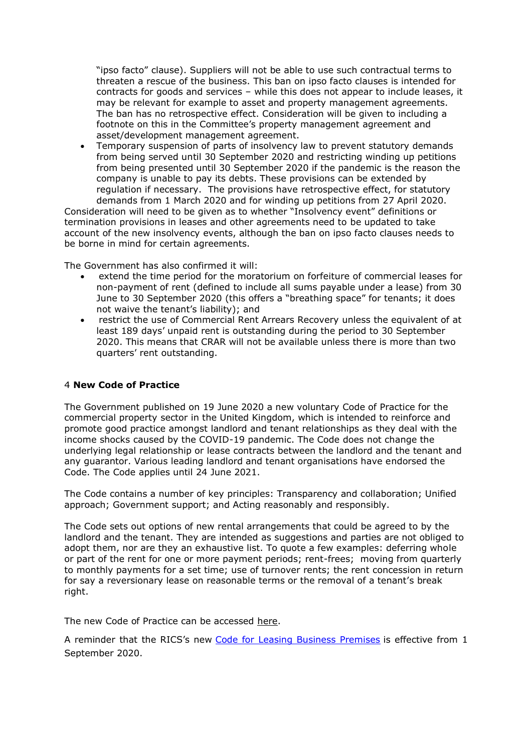"ipso facto" clause). Suppliers will not be able to use such contractual terms to threaten a rescue of the business. This ban on ipso facto clauses is intended for contracts for goods and services – while this does not appear to include leases, it may be relevant for example to asset and property management agreements. The ban has no retrospective effect. Consideration will be given to including a footnote on this in the Committee's property management agreement and asset/development management agreement.

• Temporary suspension of parts of insolvency law to prevent statutory demands from being served until 30 September 2020 and restricting winding up petitions from being presented until 30 September 2020 if the pandemic is the reason the company is unable to pay its debts. These provisions can be extended by regulation if necessary. The provisions have retrospective effect, for statutory demands from 1 March 2020 and for winding up petitions from 27 April 2020.

Consideration will need to be given as to whether "Insolvency event" definitions or termination provisions in leases and other agreements need to be updated to take account of the new insolvency events, although the ban on ipso facto clauses needs to be borne in mind for certain agreements.

The Government has also confirmed it will:

- extend the time period for the moratorium on forfeiture of commercial leases for non-payment of rent (defined to include all sums payable under a lease) from 30 June to 30 September 2020 (this offers a "breathing space" for tenants; it does not waive the tenant's liability); and
- restrict the use of Commercial Rent Arrears Recovery unless the equivalent of at least 189 days' unpaid rent is outstanding during the period to 30 September 2020. This means that CRAR will not be available unless there is more than two quarters' rent outstanding.

#### 4 **New Code of Practice**

The Government published on 19 June 2020 a new voluntary Code of Practice for the commercial property sector in the United Kingdom, which is intended to reinforce and promote good practice amongst landlord and tenant relationships as they deal with the income shocks caused by the COVID-19 pandemic. The Code does not change the underlying legal relationship or lease contracts between the landlord and the tenant and any guarantor. Various leading landlord and tenant organisations have endorsed the Code. The Code applies until 24 June 2021.

The Code contains a number of key principles: Transparency and collaboration; Unified approach; Government support; and Acting reasonably and responsibly.

The Code sets out options of new rental arrangements that could be agreed to by the landlord and the tenant. They are intended as suggestions and parties are not obliged to adopt them, nor are they an exhaustive list. To quote a few examples: deferring whole or part of the rent for one or more payment periods; rent-frees; moving from quarterly to monthly payments for a set time; use of turnover rents; the rent concession in return for say a reversionary lease on reasonable terms or the removal of a tenant's break right.

The new Code of Practice can be accessed [here.](https://assets.publishing.service.gov.uk/government/uploads/system/uploads/attachment_data/file/893637/Code_of_Practice_for_commercial_property.pdf)

A reminder that the RICS's new [Code for Leasing Business Premises](https://www.rics.org/globalassets/code-for-leasing_ps-version_feb-2020-1.pdf) is effective from 1 September 2020.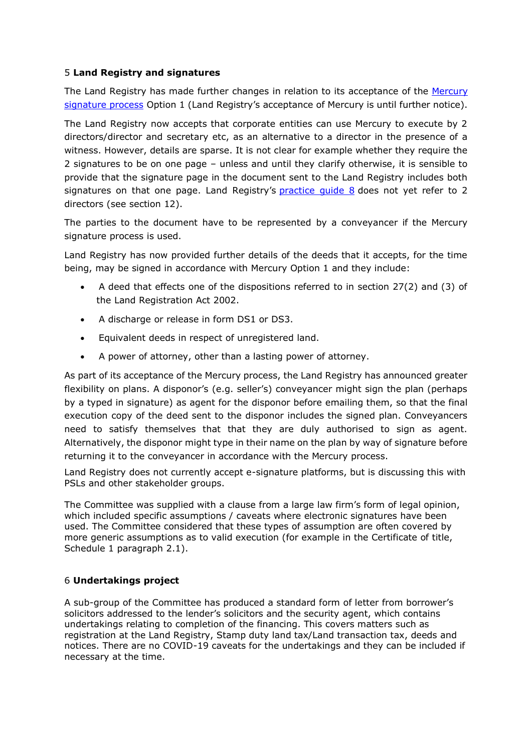# 5 **Land Registry and signatures**

The Land Registry has made further changes in relation to its acceptance of the [Mercury](https://www.lawsociety.org.uk/support-services/advice/practice-notes/execution-of-documents-by-virtual-means/)  [signature process](https://www.lawsociety.org.uk/support-services/advice/practice-notes/execution-of-documents-by-virtual-means/) Option 1 (Land Registry's acceptance of Mercury is until further notice).

The Land Registry now accepts that corporate entities can use Mercury to execute by 2 directors/director and secretary etc, as an alternative to a director in the presence of a witness. However, details are sparse. It is not clear for example whether they require the 2 signatures to be on one page – unless and until they clarify otherwise, it is sensible to provide that the signature page in the document sent to the Land Registry includes both signatures on that one page. Land Registry's [practice guide 8](https://www.gov.uk/government/publications/execution-of-deeds/practice-guide-8-execution-of-deeds) does not yet refer to 2 directors (see section 12).

The parties to the document have to be represented by a conveyancer if the Mercury signature process is used.

Land Registry has now provided further details of the deeds that it accepts, for the time being, may be signed in accordance with Mercury Option 1 and they include:

- A deed that effects one of the dispositions referred to in section 27(2) and (3) of the Land Registration Act 2002.
- A discharge or release in form DS1 or DS3.
- Equivalent deeds in respect of unregistered land.
- A power of attorney, other than a lasting power of attorney.

As part of its acceptance of the Mercury process, the Land Registry has announced greater flexibility on plans. A disponor's (e.g. seller's) conveyancer might sign the plan (perhaps by a typed in signature) as agent for the disponor before emailing them, so that the final execution copy of the deed sent to the disponor includes the signed plan. Conveyancers need to satisfy themselves that that they are duly authorised to sign as agent. Alternatively, the disponor might type in their name on the plan by way of signature before returning it to the conveyancer in accordance with the Mercury process.

Land Registry does not currently accept e-signature platforms, but is discussing this with PSLs and other stakeholder groups.

The Committee was supplied with a clause from a large law firm's form of legal opinion, which included specific assumptions / caveats where electronic signatures have been used. The Committee considered that these types of assumption are often covered by more generic assumptions as to valid execution (for example in the Certificate of title, Schedule 1 paragraph 2.1).

# 6 **Undertakings project**

A sub-group of the Committee has produced a standard form of letter from borrower's solicitors addressed to the lender's solicitors and the security agent, which contains undertakings relating to completion of the financing. This covers matters such as registration at the Land Registry, Stamp duty land tax/Land transaction tax, deeds and notices. There are no COVID-19 caveats for the undertakings and they can be included if necessary at the time.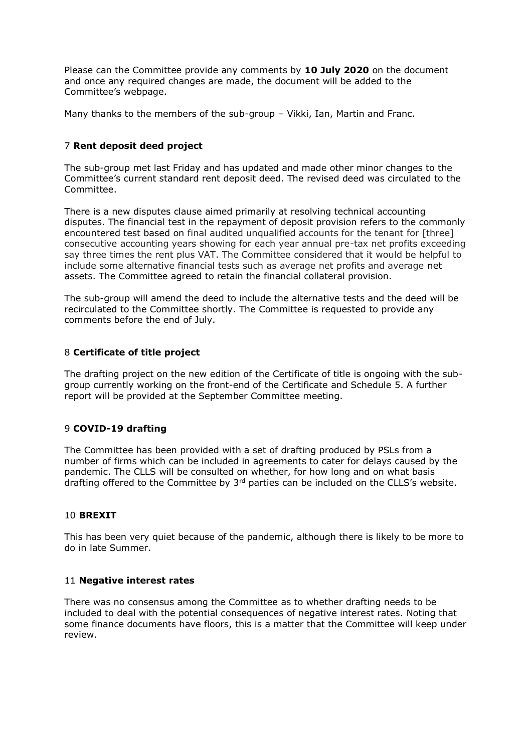Please can the Committee provide any comments by **10 July 2020** on the document and once any required changes are made, the document will be added to the Committee's webpage.

Many thanks to the members of the sub-group – Vikki, Ian, Martin and Franc.

# 7 **Rent deposit deed project**

The sub-group met last Friday and has updated and made other minor changes to the Committee's current standard rent deposit deed. The revised deed was circulated to the Committee.

There is a new disputes clause aimed primarily at resolving technical accounting disputes. The financial test in the repayment of deposit provision refers to the commonly encountered test based on final audited unqualified accounts for the tenant for [three] consecutive accounting years showing for each year annual pre-tax net profits exceeding say three times the rent plus VAT. The Committee considered that it would be helpful to include some alternative financial tests such as average net profits and average net assets. The Committee agreed to retain the financial collateral provision.

The sub-group will amend the deed to include the alternative tests and the deed will be recirculated to the Committee shortly. The Committee is requested to provide any comments before the end of July.

#### 8 **Certificate of title project**

The drafting project on the new edition of the Certificate of title is ongoing with the subgroup currently working on the front-end of the Certificate and Schedule 5. A further report will be provided at the September Committee meeting.

#### 9 **COVID-19 drafting**

The Committee has been provided with a set of drafting produced by PSLs from a number of firms which can be included in agreements to cater for delays caused by the pandemic. The CLLS will be consulted on whether, for how long and on what basis drafting offered to the Committee by  $3<sup>rd</sup>$  parties can be included on the CLLS's website.

#### 10 **BREXIT**

This has been very quiet because of the pandemic, although there is likely to be more to do in late Summer.

#### 11 **Negative interest rates**

There was no consensus among the Committee as to whether drafting needs to be included to deal with the potential consequences of negative interest rates. Noting that some finance documents have floors, this is a matter that the Committee will keep under review.